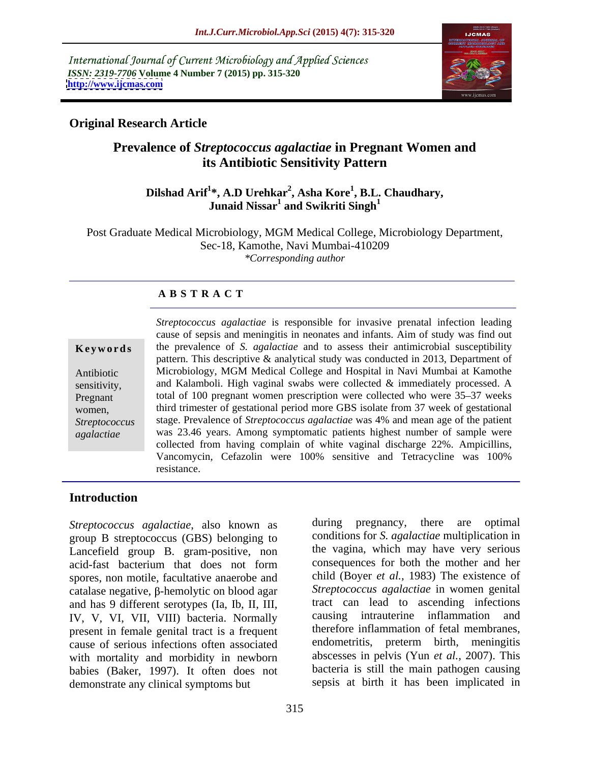International Journal of Current Microbiology and Applied Sciences *ISSN: 2319-7706* **Volume 4 Number 7 (2015) pp. 315-320 <http://www.ijcmas.com>**



## **Original Research Article**

## **Prevalence of** *Streptococcus agalactiae* **in Pregnant Women and its Antibiotic Sensitivity Pattern**

### **Dilshad Arif<sup>1</sup> \*, A.D Urehkar<sup>2</sup> , Asha Kore<sup>1</sup> , B.L. Chaudhary,** Junaid Nissar<sup>1</sup> and Swikriti Singh<sup>1</sup>  **and Swikriti Singh<sup>1</sup>**

Post Graduate Medical Microbiology, MGM Medical College, Microbiology Department, Sec-18, Kamothe, Navi Mumbai-410209 *\*Corresponding author*

## **A B S T R A C T**

*agalactiae*

*Streptococcus agalactiae* is responsible for invasive prenatal infection leading cause of sepsis and meningitis in neonates and infants. Aim of study was find out the prevalence of *S. agalactiae* and to assess their antimicrobial susceptibility **Ke ywo rds** pattern. This descriptive & analytical study was conducted in 2013, Department of Microbiology, MGM Medical College and Hospital in Navi Mumbai at Kamothe Antibiotic sensitivity, and Kalamboli. High vaginal swabs were collected & immediately processed. A Pregnant total of 100 pregnant women prescription were collected who were 35–37 weeks third trimester of gestational period more GBS isolate from 37 week of gestational women, Streptococcus stage. Prevalence of Streptococcus agalactiae was 4% and mean age of the patient was 23.46 years. Among symptomatic patients highest number of sample were collected from having complain of white vaginal discharge 22%. Ampicillins, Vancomycin, Cefazolin were 100% sensitive and Tetracycline was 100% resistance.

## **Introduction**

*Streptococcus agalactiae*, also known as during pregnancy, there are optimal group B streptococcus (GBS) belonging to Lancefield group B. gram-positive, non acid-fast bacterium that does not form consequences for both the mother and her spores, non motile, facultative anaerobe and catalase negative,  $\beta$ -hemolytic on blood agar and has 9 different serotypes (Ia, Ib, II, III, tract can lead to ascending infections<br>IV V VI VII VIII) bacteria Normally causing intrauterine inflammation and IV, V, VI, VII, VIII) bacteria. Normally present in female genital tract is a frequent cause of serious infections often associated with mortality and morbidity in newborn babies (Baker, 1997). It often does not demonstrate any clinical symptoms but

during pregnancy, there are optimal conditions for *S. agalactiae* multiplication in the vagina, which may have very serious consequences for both the mother and her child (Boyer *et al.,* 1983) The existence of *Streptococcus agalactiae* in women genital tract can lead to ascending infections causing intrauterine inflammation therefore inflammation of fetal membranes, endometritis, preterm birth, meningitis abscesses in pelvis (Yun *et al.,* 2007). This bacteria is still the main pathogen causing sepsis at birth it has been implicated in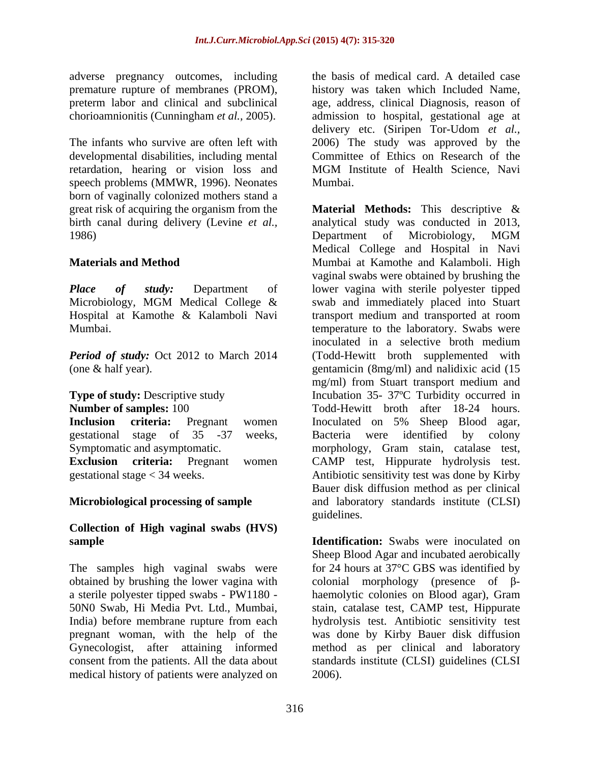adverse pregnancy outcomes, including

retardation, hearing or vision loss and MGM Institute of Health Science, Navi speech problems (MMWR, 1996). Neonates Mumbai. born of vaginally colonized mothers stand a 1986) **1986 1986 1986 1986 1986 1986 1986 1986 1986 1986 1986 1986 1986 1986 1986 1986 1986 1986 1986 1986 1986 1986 1986 1986 1986 1986 1986 1986 1986 1986 1986** 

# **Collection of High vaginal swabs (HVS)**

The samples high vaginal swabs were obtained by brushing the lower vagina with<br>a sterile polyester tipped swabs - PW1180 medical history of patients were analyzed on

premature rupture of membranes (PROM), history was taken which Included Name, preterm labor and clinical and subclinical age, address, clinical Diagnosis, reason of chorioamnionitis (Cunningham *et al.,* 2005). admission to hospital, gestational age at The infants who survive are often left with 2006) The study was approved by the developmental disabilities, including mental Committee of Ethics on Research of the the basis of medical card. A detailed case delivery etc. (Siripen Tor-Udom *et al.,* MGM Institute of Health Science, Navi Mumbai.

great risk of acquiring the organism from the **Material Methods:** This descriptive & birth canal during delivery (Levine *et al.,* analytical study was conducted in 2013, **Materials and Method** Mumbai at Kamothe and Kalamboli. High *Place of study:* Department of lower vagina with sterile polyester tipped Microbiology, MGM Medical College & swab and immediately placed into Stuart Hospital at Kamothe & Kalamboli Navi transport medium and transported at room Mumbai. temperature to the laboratory. Swabs were *Period of study:* Oct 2012 to March 2014 (Todd-Hewitt broth supplemented with (one & half year). gentamicin (8mg/ml) and nalidixic acid (15 **Type of study:** Descriptive study **Incubation 35-** 37°C Turbidity occurred in **Number of samples:** 100 Todd-Hewitt broth after 18-24 hours. **Inclusion criteria:** Pregnant women Inoculated on 5% Sheep Blood agar, gestational stage of 35 -37 weeks, Symptomatic and asymptomatic. morphology, Gram stain, catalase test, **Exclusion criteria:** Pregnant women CAMP test, Hippurate hydrolysis test. gestational stage < 34 weeks. Antibiotic sensitivity test was done by Kirby **Microbiological processing of sample** and laboratory standards institute (CLSI) Department of Microbiology, MGM Medical College and Hospital in Navi vaginal swabs were obtained by brushing the inoculated in a selective broth medium mg/ml) from Stuart transport medium and Inoculated on 5% Sheep Blood agar, Bacteria were identified by colony Bauer disk diffusion method as per clinical guidelines.

**sample Identification:** Swabs were inoculated on a sterile polyester tipped swabs - PW1180 - haemolytic colonies on Blood agar), Gram 50N0 Swab, Hi Media Pvt. Ltd., Mumbai, stain, catalase test, CAMP test, Hippurate India) before membrane rupture from each hydrolysis test. Antibiotic sensitivity test pregnant woman, with the help of the was done by Kirby Bauer disk diffusion Gynecologist, after attaining informed method as per clinical and laboratory consent from the patients. All the data about standards institute (CLSI) guidelines (CLSI Sheep Blood Agar and incubated aerobically for 24 hours at 37°C GBS was identified by colonial morphology (presence of  $\beta$ -2006).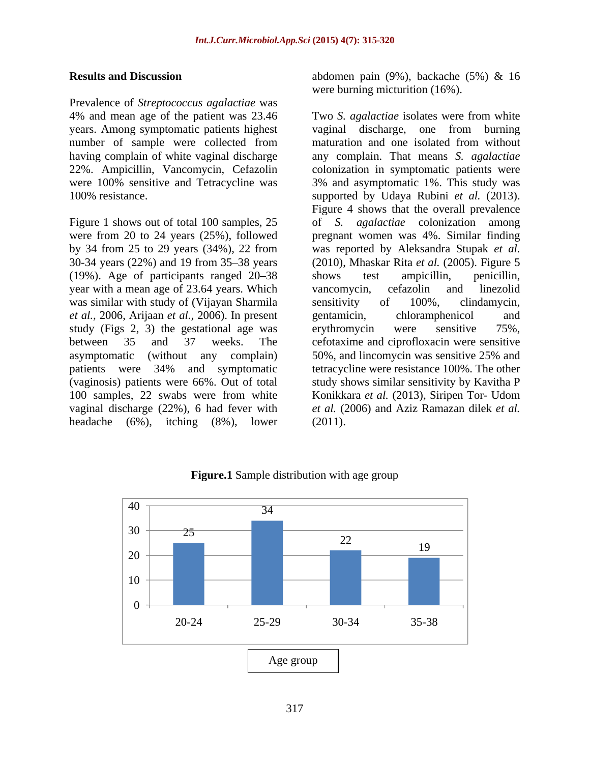Prevalence of *Streptococcus agalactiae* was

Figure 1 shows out of total 100 samples, 25 (19%). Age of participants ranged 20–38 shows test ampicillin, penicillin, year with a mean age of 23.64 years. Which vancomycin, cefazolin and linezolid was similar with study of (Vijayan Sharmila sensitivity of 100%, clindamycin, *et al.,* 2006, Arijaan *et al.,* 2006). In present study (Figs 2, 3) the gestational age was erythromycin were sensitive 75%, asymptomatic (without any complain) 50%, and lincomycin was sensitive 25% and headache  $(6\%)$ , itching  $(8\%)$ , lower  $(2011)$ .

**Results and Discussion** abdomen pain (9%), backache (5%) & 16 were burning micturition (16%).

4% and mean age of the patient was 23.46 Two *S. agalactiae* isolates were from white years. Among symptomatic patients highest vaginal discharge, one from burning number of sample were collected from maturation and one isolated from without having complain of white vaginal discharge any complain. That means *S. agalactiae* 22%. Ampicillin, Vancomycin, Cefazolin colonization in symptomatic patients were were 100% sensitive and Tetracycline was 3% and asymptomatic 1%. This study was 100% resistance. supported by Udaya Rubini *et al.* (2013). were from 20 to 24 years (25%), followed pregnant women was 4%. Similar finding by 34 from 25 to 29 years (34%), 22 from was reported by Aleksandra Stupak *et al.* 30-34 years (22%) and 19 from 35–38 years (2010), Mhaskar Rita *et al.* (2005). Figure 5 between 35 and 37 weeks. The cefotaxime and ciprofloxacin were sensitive patients were 34% and symptomatic tetracycline were resistance 100%. The other (vaginosis) patients were 66%. Out of total study shows similar sensitivity by Kavitha P 100 samples, 22 swabs were from white Konikkara *et al.* (2013), Siripen Tor- Udom vaginal discharge (22%), 6 had fever with *et al.* (2006) and Aziz Ramazan dilek *et al.* Figure 4 shows that the overall prevalence of *S. agalactiae* colonization among shows test ampicillin, penicillin, vancomycin, cefazolin and linezolid sensitivity of 100%, clindamycin, gentamicin, chloramphenicol and erythromycin were sensitive 75%, 50%, and lincomycin was sensitive 25% and tetracycline were resistance 100%. The other (2011).



**Figure.1** Sample distribution with age group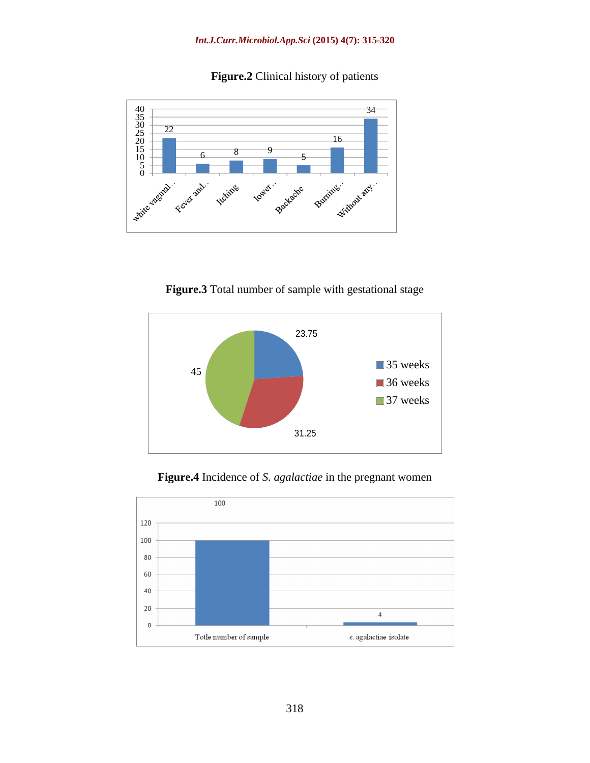**Figure.2** Clinical history of patients



**Figure.3** Total number of sample with gestational stage



**Figure.4** Incidence of *S. agalactiae* in the pregnant women

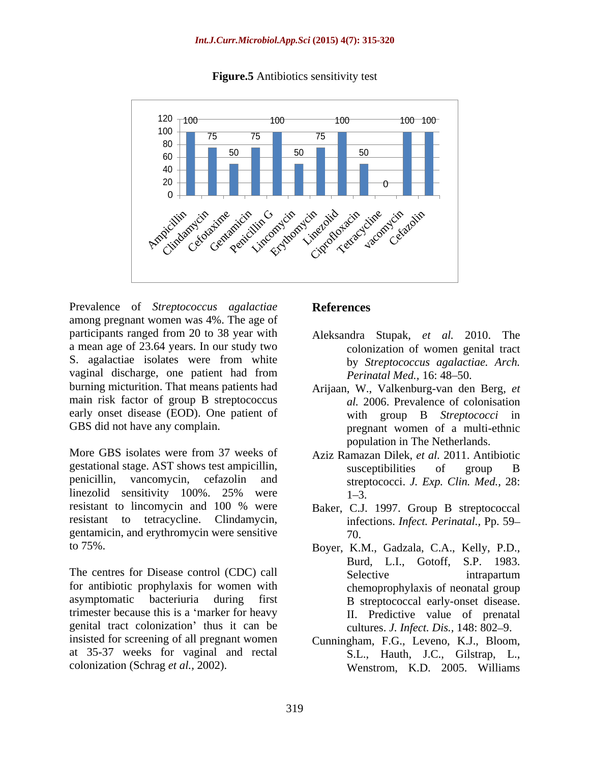

**Figure.5** Antibiotics sensitivity test

Prevalence of *Streptococcus agalactiae* among pregnant women was 4%. The age of participants ranged from 20 to 38 year with a mean age of 23.64 years. In our study two S. agalactiae isolates were from white vaginal discharge, one patient had from burning micturition. That means patients had Arijaan, W., Valkenburg-van den Berg, *et*  main risk factor of group B streptococcus early onset disease (EOD). One patient of

More GBS isolates were from 37 weeks of Aziz Ramazan Dilek, *et al.* 2011. Antibiotic gestational stage. AST shows test ampicillin, penicillin, vancomycin, cefazolin and streptococci. *J. Exp. Clin. Med.,* 28: linezolid sensitivity 100%. 25% were  $1-3$ . resistant to lincomycin and 100 % were Baker, C.J. 1997. Group B streptococcal resistant to tetracycline. Clindamycin, gentamicin, and erythromycin were sensitive

The centres for Disease control (CDC) call Selective selective intrapartum for antibiotic prophylaxis for women with asymptomatic bacteriuria during first B streptococcal early-onset disease. trimester because this is a 'marker for heavy II. Predictive value of prenatal genital tract colonization' thus it can be insisted for screening of all pregnant women Cunningham, F.G., Leveno, K.J., Bloom, at 35-37 weeks for vaginal and rectal

## **References**

- Aleksandra Stupak, *et al.* 2010. The colonization of women genital tract by *Streptococcus agalactiae. Arch. Perinatal Med.,* 16: 48-50.
- GBS did not have any complain. The pregnant women of a multi-ethnic *al.* 2006. Prevalence of colonisation with group B *Streptococci* in population in The Netherlands.
	- susceptibilities of group B  $1 - 3$ .
	- infections. *Infect. Perinatal.,* Pp. 59 70.
- to 75%. Boyer, K.M., Gadzala, C.A., Kelly, P.D., Burd, L.I., Gotoff, S.P. 1983. Selective intrapartum chemoprophylaxis of neonatal group <sup>B</sup> streptococcal early-onset disease. II. Predictive value of prenatal cultures. *J. Infect. Dis.,* 148: 802 9.
- colonization (Schrag *et al.,* 2002). Wenstrom, K.D. 2005. WilliamsS.L., Hauth, J.C., Gilstrap, L.,